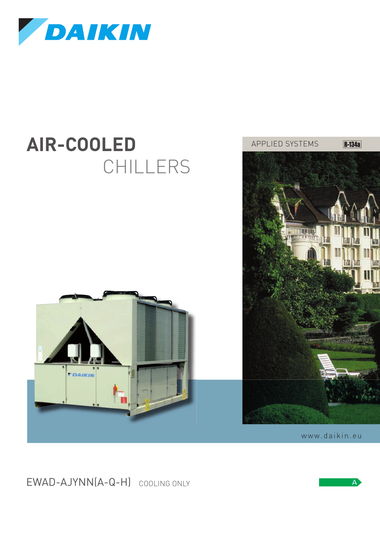







EWAD-AJYNN(A-Q-H) COOLING ONLY

*FDAIKIN* 

 $\Delta$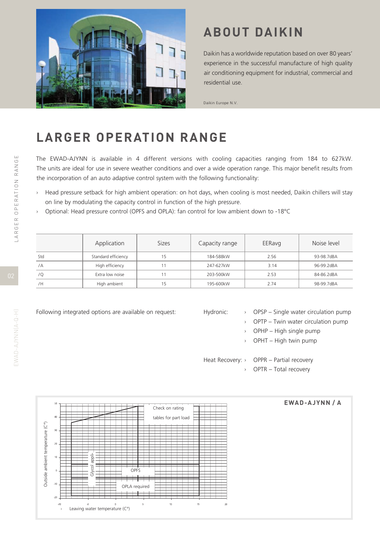

# **ABOUT DAIKIN**

Daikin has a worldwide reputation based on over 80 years' experience in the successful manufacture of high quality air conditioning equipment for industrial, commercial and residential use.

Daikin Europe N.V.

## **LARGER OPERATION RANGE**

The EWAD-AJYNN is available in 4 different versions with cooling capacities ranging from 184 to 627kW. The units are ideal for use in severe weather conditions and over a wide operation range. This major benefit results from the incorporation of an auto adaptive control system with the following functionality:

- Head pressure setback for high ambient operation: on hot days, when cooling is most needed, Daikin chillers will stay on line by modulating the capacity control in function of the high pressure.  $\rightarrow$
- Optional: Head pressure control (OPFS and OPLA): fan control for low ambient down to -18°C  $\rightarrow$

|            | Application         | <b>Sizes</b> | Capacity range | EERavg | Noise level |
|------------|---------------------|--------------|----------------|--------|-------------|
| Std        | Standard efficiency | 15           | 184-588kW      | 2.56   | 93-98.7dBA  |
| $\sqrt{A}$ | High efficiency     | 11           | 247-627kW      | 3.14   | 96-99.2dBA  |
| $\sqrt{Q}$ | Extra low noise     | 11           | 203-500kW      | 2.53   | 84-86.2dBA  |
| /H         | High ambient        | 15           | 195-600kW      | 2.74   | 98-99.7dBA  |

LARGER OPERATION RANGE LARGER OPERATION RANGE

Following integrated options are available on request:

- Hydronic:
- OPSP Single water circulation pump
- OPTP Twin water circulation pump Æ
- OPHP High single pump Æ
- OPHT High twin pump Æ

Heat Recovery: >

Æ

Æ

- OPPR Partial recovery OPTR – Total recovery
- $EWAD-AJYNN/A$ Check on rating tables for part load Outside ambient temperature (C°) Outside ambient temperature (C°)  $\overline{20}$ Glycol appli- $\overline{OP}$ F  $-10$ OPLA required  $15$ Leaving water temperature (C°)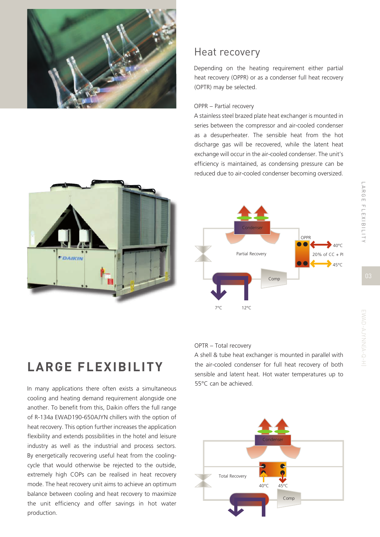

### Heat recovery

Depending on the heating requirement either partial heat recovery (OPPR) or as a condenser full heat recovery (OPTR) may be selected.

#### OPPR – Partial recovery

A stainless steel brazed plate heat exchanger is mounted in series between the compressor and air-cooled condenser as a desuperheater. The sensible heat from the hot discharge gas will be recovered, while the latent heat exchange will occur in the air-cooled condenser. The unit's efficiency is maintained, as condensing pressure can be reduced due to air-cooled condenser becoming oversized.





# LARGE FLEXIBILITY

In many applications there often exists a simultaneous cooling and heating demand requirement alongside one another. To benefit from this, Daikin offers the full range of R-134a EWAD190-650AJYN chillers with the option of heat recovery. This option further increases the application flexibility and extends possibilities in the hotel and leisure industry as well as the industrial and process sectors. By energetically recovering useful heat from the coolingcycle that would otherwise be rejected to the outside, extremely high COPs can be realised in heat recovery mode. The heat recovery unit aims to achieve an optimum balance between cooling and heat recovery to maximize the unit efficiency and offer savings in hot water production.

#### OPTR – Total recovery

A shell & tube heat exchanger is mounted in parallel with the air-cooled condenser for full heat recovery of both sensible and latent heat. Hot water temperatures up to 55°C can be achieved.

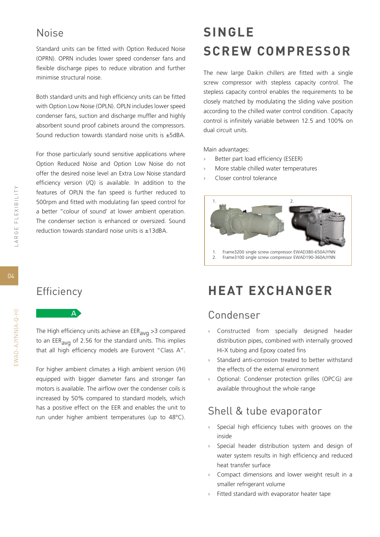### Noise

Standard units can be fitted with Option Reduced Noise (OPRN). OPRN includes lower speed condenser fans and flexible discharge pipes to reduce vibration and further minimise structural noise.

Both standard units and high efficiency units can be fitted with Option Low Noise (OPLN). OPLN includes lower speed condenser fans, suction and discharge muffler and highly absorbent sound proof cabinets around the compressors. Sound reduction towards standard noise units is ±5dBA.

For those particularly sound sensitive applications where Option Reduced Noise and Option Low Noise do not offer the desired noise level an Extra Low Noise standard efficiency version (/Q) is available. In addition to the features of OPLN the fan speed is further reduced to 500rpm and fitted with modulating fan speed control for a better "colour of sound' at lower ambient operation. The condenser section is enhanced or oversized. Sound reduction towards standard noise units is  $\pm 13$ dBA.

# **SINGLE**  $SCREW$ *COMPRESSOR*

The new large Daikin chillers are fitted with a single screw compressor with stepless capacity control. The stepless capacity control enables the requirements to be closely matched by modulating the sliding valve position according to the chilled water control condition. Capacity control is infinitely variable between 12.5 and 100% on dual circuit units.

Main advantages:

- Better part load efficiency (ESEER) Æ
- More stable chilled water temperatures Æ
- Closer control tolerance Æ



- Efficiency
	- $\mathbf{A}$

The High efficiency units achieve an  $EER_{\text{av}q} > 3$  compared to an EER<sub>avg</sub> of 2.56 for the standard units. This implies that all high efficiency models are Eurovent "Class A".

For higher ambient climates a High ambient version (/H) equipped with bigger diameter fans and stronger fan motors is available. The airflow over the condenser coils is increased by 50% compared to standard models, which has a positive effect on the EER and enables the unit to run under higher ambient temperatures (up to 48°C).

## **WEAT EXCHANGER**

### Condenser

- Constructed from specially designed header distribution pipes, combined with internally grooved Hi-X tubing and Epoxy coated fins Æ
- Standard anti-corrosion treated to better withstand the effects of the external environment  $\mathbf{v}$
- Optional: Condenser protection grilles (OPCG) are available throughout the whole range Æ

### Shell & tube evaporator

- Special high efficiency tubes with grooves on the inside  $\rightarrow$
- Special header distribution system and design of water system results in high efficiency and reduced heat transfer surface Æ
- Compact dimensions and lower weight result in a Æ smaller refrigerant volume
- Fitted standard with evaporator heater tape Æ

 $04$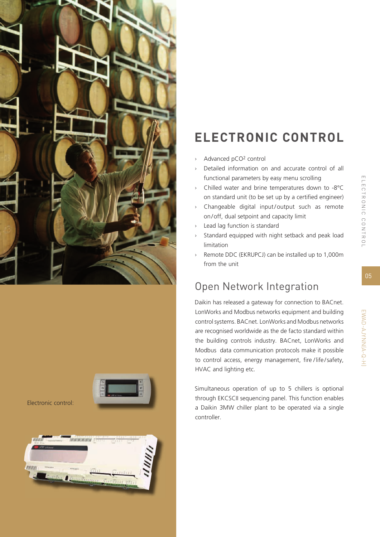

# $T$  **RONIC CONTROL**

- $\overline{ }$ Advanced pCO 2 control
- Detailed information on and accurate control of all  $\overline{\phantom{a}}$ functional parameters by easy menu scrolling
- Chilled water and brine temperatures down to -8°C on standard unit (to be set up by a certified engineer)
- $\mathcal{L}$ Changeable digital input /output such as remote on /off, dual setpoint and capacity limit
- Lead lag function is standard  $\rightarrow$
- Standard equipped with night setback and peak load limitation
- Remote DDC (EKRUPCJ) can be installed up to 1,000m  $\rightarrow$ from the unit

### Open Network Integration

Daikin has released a gateway for connection to BACnet. LonWorks and Modbus networks equipment and building control systems. BACnet. LonWorks and Modbus networks are recognised worldwide as the de facto standard within the building controls industry. BACnet, LonWorks and Modbus data communication protocols make it possible to control access, energy management, fire /life /safety, HVAC and lighting etc. **Controller.**<br>
Advanced<br>
Detailed<br>
Schilled won standa<br>
Detailed won standa<br>
Detailed won standa<br>
Detailed ministand<br>
Detailed imitation<br>
Remote E<br>
from the<br>
Detailed imitation<br>
Remote E<br>
from the<br>
Detailed imitation<br>
Remo

Simultaneous operation of up to 5 chillers is optional through EKCSCII sequencing panel. This function enables a Daikin 3MW chiller plant to be operated via a single controller.



Electronic control:

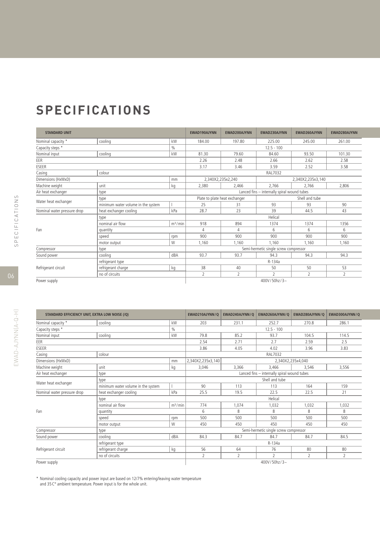## SPECIFICATIONS

| <b>STANDARD UNIT</b>        |                                    |                                             | EWAD190AJYNN   | EWAD200AJYNN                                                                                                                                                                                                                                                                                                                                                                                                                          | EWAD230AJYNN   | EWAD260AJYNN      | EWAD280AJYNN |  |
|-----------------------------|------------------------------------|---------------------------------------------|----------------|---------------------------------------------------------------------------------------------------------------------------------------------------------------------------------------------------------------------------------------------------------------------------------------------------------------------------------------------------------------------------------------------------------------------------------------|----------------|-------------------|--------------|--|
| Nominal capacity *          | cooling                            | kW                                          | 184.00         | 197.80                                                                                                                                                                                                                                                                                                                                                                                                                                | 225.00         | 245.00            | 261.00       |  |
| Capacity steps *            |                                    | $\%$                                        |                |                                                                                                                                                                                                                                                                                                                                                                                                                                       | $12.5 - 100$   |                   |              |  |
| Nominal input               | cooling                            | kW                                          | 81.30          | 79.60                                                                                                                                                                                                                                                                                                                                                                                                                                 | 84.60          | 93.50             | 101.30       |  |
| EER                         |                                    |                                             | 2.26           | 2.48                                                                                                                                                                                                                                                                                                                                                                                                                                  | 2.66           | 2.62              | 2.58         |  |
| ESEER                       |                                    |                                             | 3.17           | 3.46                                                                                                                                                                                                                                                                                                                                                                                                                                  | 3.59           | 2.52              | 3.58         |  |
| Casing                      | colour                             |                                             |                |                                                                                                                                                                                                                                                                                                                                                                                                                                       | <b>RAL7032</b> |                   |              |  |
| Dimensions (HxWxD)          |                                    | mm                                          |                |                                                                                                                                                                                                                                                                                                                                                                                                                                       |                | 2,340X2,235x3,140 |              |  |
| Machine weight              | unit                               | kg                                          | 2,380          | 2,466                                                                                                                                                                                                                                                                                                                                                                                                                                 | 2,766          | 2.766             | 2.806        |  |
| Air heat exchanger          | type                               | Lanced fins - internally spiral wound tubes |                |                                                                                                                                                                                                                                                                                                                                                                                                                                       |                |                   |              |  |
| Water heat exchanger        | type                               |                                             |                |                                                                                                                                                                                                                                                                                                                                                                                                                                       |                | Shell and tube    |              |  |
|                             | minimum water volume in the system |                                             | 25             | 2,340X2,235x2,240<br>Plate to plate heat exchanger<br>93<br>93<br>90<br>31<br>23<br>39<br>43<br>44.5<br>Helical<br>894<br>1374<br>1356<br>1374<br>4<br>6<br>6<br>6<br>900<br>900<br>900<br>900<br>1,160<br>1.160<br>1,160<br>1.160<br>Semi-hermetic single screw compressor<br>94.3<br>93.7<br>94.3<br>94.3<br>R-134a<br>40<br>50<br>53<br>50<br>$\overline{2}$<br>$\overline{2}$<br>$\overline{2}$<br>$\overline{2}$<br>400V/50hz/3~ |                |                   |              |  |
| Nominal water pressure drop | heat exchanger cooling             | kPa                                         | 28.7           |                                                                                                                                                                                                                                                                                                                                                                                                                                       |                |                   |              |  |
|                             | type                               |                                             |                |                                                                                                                                                                                                                                                                                                                                                                                                                                       |                |                   |              |  |
|                             | nominal air flow                   | m <sup>3</sup> /min                         | 918            |                                                                                                                                                                                                                                                                                                                                                                                                                                       |                |                   |              |  |
| Fan                         | quantity                           |                                             | 4              |                                                                                                                                                                                                                                                                                                                                                                                                                                       |                |                   |              |  |
|                             | speed                              | rpm                                         | 900            |                                                                                                                                                                                                                                                                                                                                                                                                                                       |                |                   |              |  |
|                             | motor output                       | W                                           | 1.160          |                                                                                                                                                                                                                                                                                                                                                                                                                                       |                |                   |              |  |
| Compressor                  | type                               |                                             |                |                                                                                                                                                                                                                                                                                                                                                                                                                                       |                |                   |              |  |
| Sound power                 | cooling                            | dBA                                         | 93.7           |                                                                                                                                                                                                                                                                                                                                                                                                                                       |                |                   |              |  |
|                             | refrigerant type                   |                                             |                |                                                                                                                                                                                                                                                                                                                                                                                                                                       |                |                   |              |  |
| Refrigerant circuit         | refrigerant charge                 | kg                                          | 38             |                                                                                                                                                                                                                                                                                                                                                                                                                                       |                |                   |              |  |
|                             | no of circuits                     |                                             | $\overline{2}$ |                                                                                                                                                                                                                                                                                                                                                                                                                                       |                |                   |              |  |
| Power supply                |                                    |                                             |                |                                                                                                                                                                                                                                                                                                                                                                                                                                       |                |                   |              |  |

| STANDARD EFFICIENCY UNIT, EXTRA LOW NOISE (/Q) |                                    |                     | EWAD210AJYNN/O    | EWAD240AJYNN/O           | EWAD260AJYNN/O                              | EWAD280AJYNN/O           | EWAD300AJYNN/O           |
|------------------------------------------------|------------------------------------|---------------------|-------------------|--------------------------|---------------------------------------------|--------------------------|--------------------------|
| Nominal capacity *                             | cooling                            | kW                  | 203               | 231.1                    | 252.7                                       | 270.8                    | 286.1                    |
| Capacity steps *                               |                                    | $\frac{0}{0}$       |                   |                          | $12.5 - 100$                                |                          |                          |
| Nominal input                                  | cooling                            | kW                  | 79.8              | 85.2                     | 93.7                                        | 104.5                    | 114.5                    |
| EER                                            |                                    |                     | 2.54              | 2.71                     | 2.7                                         | 2.59                     | 2.5                      |
| ESEER                                          |                                    |                     | 3.86              | 4.05                     | 4.02                                        | 3.96                     | 3.83                     |
| Casing                                         | colour                             |                     |                   |                          | <b>RAL7032</b>                              |                          |                          |
| Dimensions (HxWxD)                             |                                    | mm                  | 2,340X2,235x3,140 |                          |                                             | 2,340X2,235x4,040        |                          |
| Machine weight                                 | unit                               | kg                  | 3,046             | 3,366                    | 3,466                                       | 3.546                    | 3,556                    |
| Air heat exchanger                             | type                               |                     |                   |                          | Lanced fins - internally spiral wound tubes |                          |                          |
|                                                | type                               |                     |                   |                          | Shell and tube                              |                          |                          |
| Water heat exchanger                           | minimum water volume in the system |                     | 90                | 113                      | 113                                         | 164                      | 159                      |
| Nominal water pressure drop                    | heat exchanger cooling             | kPa                 | 25.5              | 19.5                     | 22.5                                        | 22.5                     | 21                       |
|                                                | type                               |                     |                   |                          | Helical                                     |                          |                          |
|                                                | nominal air flow                   | m <sup>3</sup> /min | 774               | 1,074                    | 1,032                                       | 1,032                    | 1,032                    |
| Fan                                            | quantity                           |                     | 6                 | 8                        | 8                                           | 8                        | 8                        |
|                                                | speed                              | rpm                 | 500               | 500                      | 500                                         | 500                      | 500                      |
|                                                | motor output                       | W                   | 450               | 450                      | 450                                         | 450                      | 450                      |
| Compressor                                     | type                               |                     |                   |                          | Semi-hermetic single screw compressor       |                          |                          |
| Sound power                                    | cooling                            | dBA                 | 84.3              | 84.7                     | 84.7                                        | 84.7                     | 84.5                     |
|                                                | refrigerant type                   |                     |                   |                          | R-134a                                      |                          |                          |
| Refrigerant circuit                            | refrigerant charge                 | kg                  | 56                | 64                       | 76                                          | 80                       | 80                       |
|                                                | no of circuits                     |                     | $\overline{2}$    | $\overline{\phantom{a}}$ | $\overline{2}$                              | $\overline{\mathcal{L}}$ | $\overline{\phantom{a}}$ |

Power supply

 $400V/50hz/3$ ~

\* Nominal cooling capacity and power input are based on 12/7% entering/leaving water temperature and 35C° ambient temperature. Power input is for the whole unit.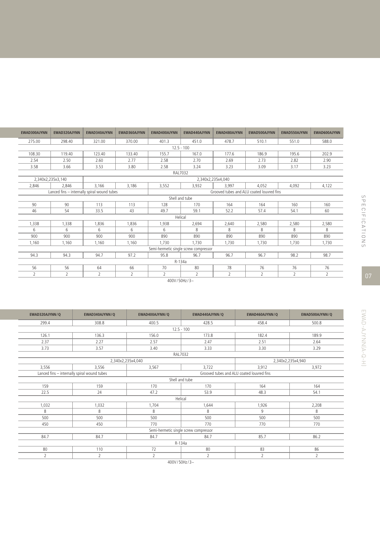|                                        | EWAD300AJYNN                                                                             | EWAD320AJYNN | EWAD340AJYNN | EWAD360AJYNN | EWAD400AJYNN   | EWAD440AJYNN                          | EWAD480AJYNN | EWAD500AJYNN | EWAD550AJYNN | EWAD600AJYNN |
|----------------------------------------|------------------------------------------------------------------------------------------|--------------|--------------|--------------|----------------|---------------------------------------|--------------|--------------|--------------|--------------|
|                                        | 275.00                                                                                   | 298.40       | 321.00       | 370.00       | 401.3          | 451.0                                 | 478.7        | 510.1        | 551.0        | 588.0        |
|                                        |                                                                                          |              |              |              |                | $12.5 - 100$                          |              |              |              |              |
|                                        | 108.30                                                                                   | 119.40       | 123.40       | 133.40       | 155.7          | 167.0                                 | 177.6        | 186.9        | 195.6        | 202.9        |
|                                        | 2.54                                                                                     | 2.50         | 2.60         | 2.77         | 2.58           | 2.70                                  | 2.69         | 2.73         | 2.82         | 2.90         |
|                                        | 3.58                                                                                     | 3.66         | 3.53         | 3.80         | 2.58           | 3.24                                  | 3.23         | 3.09         | 3.17         | 3.23         |
|                                        |                                                                                          |              |              |              |                | <b>RAL7032</b>                        |              |              |              |              |
| 2,340x2,235x3,140<br>2,340x2,235x4,040 |                                                                                          |              |              |              |                |                                       |              |              |              |              |
|                                        | 2,846                                                                                    | 2,846        | 3,166        | 3,186        | 3,552          | 3,932                                 | 3,997        | 4,052        | 4,092        | 4,122        |
|                                        | Lanced fins - internally spiral wound tubes<br>Grooved tubes and ALU coated louvred fins |              |              |              |                |                                       |              |              |              |              |
|                                        |                                                                                          |              |              |              |                | Shell and tube                        |              |              |              |              |
|                                        | 90                                                                                       | 90           | 113          | 113          | 128            | 170                                   | 164          | 164          | 160          | 160          |
|                                        | 46                                                                                       | 54           | 33.5         | 43           | 49.7           | 59.1                                  | 52.2         | 57.4         | 54.1         | 60           |
|                                        |                                                                                          |              |              |              | Helical        |                                       |              |              |              |              |
|                                        | 1,338                                                                                    | 1,338        | 1,836        | 1,836        | 1,938          | 2,694                                 | 2,640        | 2,580        | 2,580        | 2,580        |
|                                        | 6                                                                                        | 6            | 6            | 6            | 6              | 8                                     | 8            | 8            | 8            | 8            |
|                                        | 900                                                                                      | 900          | 900          | 900          | 890            | 890                                   | 890          | 890          | 890          | 890          |
|                                        | 1,160                                                                                    | 1.160        | 1,160        | 1,160        | 1,730          | 1.730                                 | 1,730        | 1.730        | 1.730        | 1,730        |
|                                        |                                                                                          |              |              |              |                | Semi-hermetic single screw compressor |              |              |              |              |
|                                        | 94.3                                                                                     | 94.3         | 94.7         | 97.2         | 95.8           | 96.7                                  | 96.7         | 96.7         | 98.2         | 98.7         |
|                                        |                                                                                          |              |              |              | R-134a         |                                       |              |              |              |              |
|                                        | 56                                                                                       | 56           | 64           | 66           | 70             | 80                                    | 78           | 76           | 76           | 76           |
|                                        | 2                                                                                        | 2            | 2            | 2            | $\overline{2}$ | 2                                     | 2            | 2            | 2            | 2            |
|                                        |                                                                                          |              |              |              | 100111011172   |                                       |              |              |              |              |

400V/ 50Hz/ 3~

| EWAD320AJYNN/Q                         | EWAD340AJYNN/Q                              | EWAD400AJYNN / Q | EWAD440AJYNN/Q                            | EWAD460AJYNN/Q | EWAD500AJYNN/Q |  |  |  |  |  |  |
|----------------------------------------|---------------------------------------------|------------------|-------------------------------------------|----------------|----------------|--|--|--|--|--|--|
| 299.4                                  | 308.8                                       | 400.5            | 428.5                                     | 458.4          | 500.8          |  |  |  |  |  |  |
|                                        |                                             |                  | $12.5 - 100$                              |                |                |  |  |  |  |  |  |
| 126.1                                  | 136.3                                       | 156.0            | 173.8                                     | 182.4          | 189.9          |  |  |  |  |  |  |
| 2.37                                   | 2.27                                        | 2.57             | 2.47                                      | 2.51           | 2.64           |  |  |  |  |  |  |
| 3.73                                   | 3.57                                        | 3.40             | 3.33                                      | 3.30           | 3.29           |  |  |  |  |  |  |
|                                        |                                             | RAL7032          |                                           |                |                |  |  |  |  |  |  |
| 2,340x2,235x4,040<br>2,340x2,235x4,940 |                                             |                  |                                           |                |                |  |  |  |  |  |  |
| 3,556                                  | 3,556                                       | 3,567            | 3,722                                     | 3,912          | 3,972          |  |  |  |  |  |  |
|                                        | Lanced fins - internally spiral wound tubes |                  | Grooved tubes and ALU coated louvred fins |                |                |  |  |  |  |  |  |
|                                        |                                             |                  | Shell and tube                            |                |                |  |  |  |  |  |  |
| 159                                    | 159                                         | 170              | 170                                       | 164            | 164            |  |  |  |  |  |  |
| 22.5                                   | 24                                          | 47.2             | 53.9                                      | 48.3           | 54.1           |  |  |  |  |  |  |
|                                        |                                             | Helical          |                                           |                |                |  |  |  |  |  |  |
| 1,032                                  | 1,032                                       | 1,704            | 1,644                                     | 1,926          | 2,208          |  |  |  |  |  |  |
| 8                                      | 8                                           | 8                | 8                                         | 9              | 8              |  |  |  |  |  |  |
| 500                                    | 500                                         | 500              | 500                                       | 500            | 500            |  |  |  |  |  |  |
| 450                                    | 450                                         | 770              | 770                                       | 770            | 770            |  |  |  |  |  |  |
|                                        |                                             |                  | Semi-hermetic single screw compressor     |                |                |  |  |  |  |  |  |
| 84.7                                   | 84.7                                        | 84.7             | 84.7                                      | 85.7           | 86.2           |  |  |  |  |  |  |
|                                        |                                             |                  | R-134a                                    |                |                |  |  |  |  |  |  |
| 80                                     | 110                                         | 72               | 80                                        | 83             | 86             |  |  |  |  |  |  |
| $\overline{2}$                         | $\overline{2}$                              | $\overline{2}$   | $\overline{2}$                            | $\overline{2}$ | $\overline{2}$ |  |  |  |  |  |  |
|                                        |                                             | 400V/50Hz/3~     |                                           |                |                |  |  |  |  |  |  |

K A H = 2L A H = 2L A F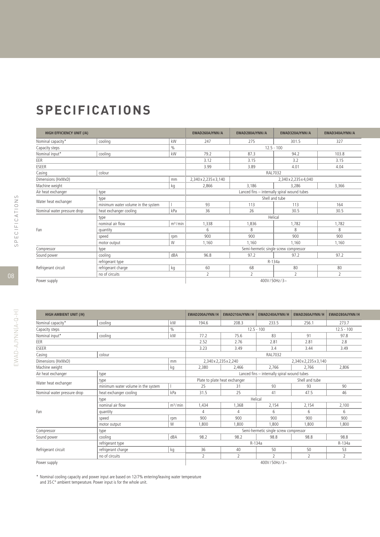### SPECIFICATIONS

| <b>HIGH EFFICIENCY UNIT (/A)</b> |                                    |                     | EWAD260AJYNN/A        | EWAD280AJYNN/A                                                                                                                                                                                                                                                                                                                                                    | EWAD320AJYNN/A        | EWAD340AJYNN/A |
|----------------------------------|------------------------------------|---------------------|-----------------------|-------------------------------------------------------------------------------------------------------------------------------------------------------------------------------------------------------------------------------------------------------------------------------------------------------------------------------------------------------------------|-----------------------|----------------|
| Nominal capacity*                | cooling                            | kW                  | 247                   | 275                                                                                                                                                                                                                                                                                                                                                               | 301.5                 | 327            |
| Capacity steps                   |                                    | $\%$                |                       |                                                                                                                                                                                                                                                                                                                                                                   |                       |                |
| Nominal input*                   | cooling                            | kW                  | 79.2                  | 87.3                                                                                                                                                                                                                                                                                                                                                              | 94.2                  | 103.8          |
| EER                              |                                    |                     | 3.12                  | 3.15                                                                                                                                                                                                                                                                                                                                                              | 3.2                   | 3.15           |
| ESEER                            |                                    |                     | 3.99                  | 3.89                                                                                                                                                                                                                                                                                                                                                              | 4.01                  | 4.04           |
| Casing                           | colour                             |                     |                       |                                                                                                                                                                                                                                                                                                                                                                   |                       |                |
| Dimensions (HxWxD)               |                                    | mm                  | 2,340 x 2,235 x 3,140 |                                                                                                                                                                                                                                                                                                                                                                   | 2,340 x 2,235 x 4,040 |                |
| Machine weight                   |                                    | kg                  | 2,866                 | 3,186                                                                                                                                                                                                                                                                                                                                                             | 3,286                 | 3,366          |
| Air heat exchanger               | type                               |                     |                       |                                                                                                                                                                                                                                                                                                                                                                   |                       |                |
|                                  | type                               |                     |                       |                                                                                                                                                                                                                                                                                                                                                                   |                       |                |
| Water heat exchanger             | minimum water volume in the system |                     | 93                    | $12.5 - 100$<br>RAL7032<br>Lanced fins - internally spiral wound tubes<br>Shell and tube<br>113<br>113<br>36<br>26<br>30.5<br>Helical<br>1,782<br>1,836<br>6<br>8<br>8<br>900<br>900<br>1,160<br>1,160<br>Semi-hermetic single screw compressor<br>97.2<br>97.2<br>R-134a<br>60<br>80<br>68<br>$\overline{2}$<br>$\overline{2}$<br>$\overline{2}$<br>400V/50Hz/3~ | 164                   |                |
| Nominal water pressure drop      | heat exchanger cooling             | kPa                 |                       |                                                                                                                                                                                                                                                                                                                                                                   |                       | 30.5           |
|                                  | type                               |                     |                       |                                                                                                                                                                                                                                                                                                                                                                   |                       |                |
|                                  | nominal air flow                   | m <sup>3</sup> /min | 1,338                 |                                                                                                                                                                                                                                                                                                                                                                   |                       | 1,782          |
| Fan                              | quantity                           |                     |                       |                                                                                                                                                                                                                                                                                                                                                                   |                       | 8              |
|                                  | speed                              | rpm                 | 900                   |                                                                                                                                                                                                                                                                                                                                                                   |                       | 900            |
|                                  | motor output                       | W                   | 1,160                 |                                                                                                                                                                                                                                                                                                                                                                   |                       | 1.160          |
| Compressor                       | type                               |                     |                       |                                                                                                                                                                                                                                                                                                                                                                   |                       |                |
| Sound power                      | cooling                            | dBA                 | 96.8                  |                                                                                                                                                                                                                                                                                                                                                                   |                       | 97.2           |
|                                  | refrigerant type                   |                     |                       |                                                                                                                                                                                                                                                                                                                                                                   |                       |                |
| Refrigerant circuit              | refrigerant charge                 | kg                  |                       |                                                                                                                                                                                                                                                                                                                                                                   |                       | 80             |
|                                  | no of circuits                     |                     |                       |                                                                                                                                                                                                                                                                                                                                                                   |                       | $\overline{2}$ |
| Power supply                     |                                    |                     |                       |                                                                                                                                                                                                                                                                                                                                                                   |                       |                |

Power supply

| <b>HIGH AMBIENT UNIT (/H)</b> |                                    |                     | EWAD200AJYNN/H | EWAD210AJYNN/H                | EWAD240AJYNN/H                              | EWAD260AJYNN/H        | EWAD280AJYNN/H |
|-------------------------------|------------------------------------|---------------------|----------------|-------------------------------|---------------------------------------------|-----------------------|----------------|
| Nominal capacity*             | cooling                            | kW                  | 194.6          | 208.3                         | 233.5                                       | 256.1                 | 273.7          |
| Capacity steps                |                                    | $\%$                |                |                               | $12.5 - 100$                                |                       | $12.5 - 100$   |
| Nominal input*                | cooling                            | kW                  | 77.2           | 75.6                          | 83                                          | 91                    | 97.8           |
| EER                           |                                    |                     | 2.52           | 2.76                          | 2.81                                        | 2.81                  | 2.8            |
| ESEER                         |                                    |                     | 3.23           | 3.49                          | 3.4                                         | 3.44                  | 3.49           |
| Casing                        | colour                             |                     |                |                               | <b>RAL7032</b>                              |                       |                |
| Dimensions (HxWxD)            |                                    | mm                  |                | 2,340 x 2,235 x 2,240         |                                             | 2,340 x 2,235 x 3,140 |                |
| Machine weight                |                                    | kg                  | 2,380          | 2,466                         | 2,766                                       | 2.766                 | 2,806          |
| Air heat exchanger            | type                               |                     |                |                               | Lanced fins - internally spiral wound tubes |                       |                |
| Water heat exchanger          | type                               |                     |                | Plate to plate heat exchanger |                                             | Shell and tube        |                |
|                               | minimum water volume in the system |                     | 25             | 31                            | 93                                          | 93                    | 90             |
| Nominal water pressure drop   | heat exchanger cooling             | kPa                 | 31.5           | 25                            | 41                                          | 47.5                  | 46             |
|                               | type                               |                     |                |                               | Helical                                     |                       |                |
|                               | nominal air flow                   | m <sup>3</sup> /min | 1,434          | 1,368                         | 2,154                                       | 2,154                 | 2,100          |
| Fan                           | quantity                           |                     | 4              | 4                             | 6                                           | 6                     | 6              |
|                               | speed                              | rpm                 | 900            | 900                           | 900                                         | 900                   | 900            |
|                               | motor output                       | W                   | 1.800          | 1,800                         | 1,800                                       | 1,800                 | 1,800          |
| Compressor                    | type                               |                     |                |                               | Semi-hermetic single screw compressor       |                       |                |
| Sound power                   | cooling                            | dBA                 | 98.2           | 98.2                          | 98.8                                        | 98.8                  | 98.8           |
|                               | refrigerant type                   |                     |                |                               | R-134a                                      |                       | R-134a         |
| Refrigerant circuit           | refrigerant charge                 | kg                  | 36             | 40                            | 50                                          | 50                    | 53             |
|                               | no of circuits                     |                     | $\overline{2}$ | $\overline{2}$                | $\overline{2}$                              | $\overline{2}$        | $\overline{2}$ |
| Power supply                  |                                    |                     |                |                               | 400V/50Hz/3~                                |                       |                |

\* Nominal cooling capacity and power input are based on 12/7% entering/leaving water temperature

and 35C° ambient temperature. Power input is for the whole unit.

 $\ge$ 

9<%9BQF

F 9-4 P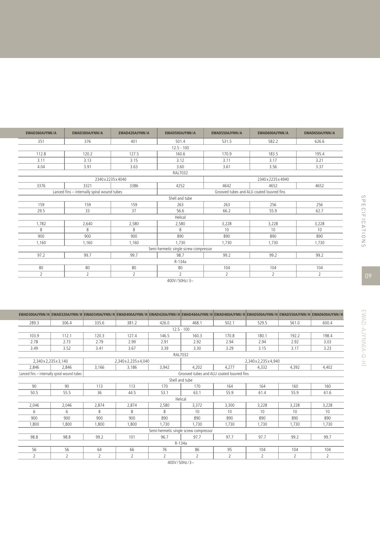| EWAD360AJYNN/A | EWAD380AJYNN/A                              | EWAD420AJYNN/A | EWAD500AJYNN/A                        | EWAD550AJYNN/A                            | EWAD600AJYNN/A     | EWAD650AJYNN/A |  |  |  |  |  |
|----------------|---------------------------------------------|----------------|---------------------------------------|-------------------------------------------|--------------------|----------------|--|--|--|--|--|
| 351            | 376                                         | 401            | 501.4                                 | 531.5                                     | 582.2              | 626.6          |  |  |  |  |  |
|                |                                             |                | $12.5 - 100$                          |                                           |                    |                |  |  |  |  |  |
| 112.8          | 120.2                                       | 127.5          | 160.6                                 | 170.9                                     | 183.5              | 195.4          |  |  |  |  |  |
| 3.11           | 3.13                                        | 3.15           | 3.12                                  | 3.11                                      | 3.17               | 3.21           |  |  |  |  |  |
| 4.04           | 3.91                                        | 3.63           | 3.60                                  | 3.61                                      | 3.56               | 3.37           |  |  |  |  |  |
|                |                                             |                | RAL7032                               |                                           |                    |                |  |  |  |  |  |
|                | 2340 x 2235 x 4040                          |                |                                       |                                           | 2340 x 2235 x 4940 |                |  |  |  |  |  |
| 3376           | 3321                                        | 3386           | 4252                                  | 4642                                      | 4652               | 4652           |  |  |  |  |  |
|                | Lanced fins - internally spiral wound tubes |                |                                       | Grooved tubes and ALU coated louvred fins |                    |                |  |  |  |  |  |
|                | Shell and tube                              |                |                                       |                                           |                    |                |  |  |  |  |  |
| 159            | 159                                         | 159            | 263                                   | 263                                       | 256                | 256            |  |  |  |  |  |
| 29.5           | 33                                          | 37             | 56.6                                  | 66.2                                      | 55.9               | 62.7           |  |  |  |  |  |
|                |                                             |                | Helical                               |                                           |                    |                |  |  |  |  |  |
| 1,782          | 2,640                                       | 2,580          | 2,580                                 | 3,228                                     | 3,228              | 3,228          |  |  |  |  |  |
| 8              | 8                                           | 8              | 8                                     | 10                                        | 10                 | 10             |  |  |  |  |  |
| 900            | 900                                         | 900            | 890                                   | 890                                       | 890                | 890            |  |  |  |  |  |
| 1,160          | 1,160                                       | 1,160          | 1,730                                 | 1,730                                     | 1,730              | 1,730          |  |  |  |  |  |
|                |                                             |                | Semi-hermetic single screw compressor |                                           |                    |                |  |  |  |  |  |
| 97.2           | 99.7                                        | 99.7           | 98.7                                  | 99.2                                      | 99.2               | 99.2           |  |  |  |  |  |
|                |                                             |                | R-134a                                |                                           |                    |                |  |  |  |  |  |
| 80             | 80                                          | 80             | 80                                    | 104                                       | 104                | 104            |  |  |  |  |  |
| 2              | $\overline{2}$                              | 2              | 2                                     | 2                                         | $\overline{2}$     | $\overline{2}$ |  |  |  |  |  |

400V/ 50Hz/ 3~

|                                                                                        |                                                                         |                |       |                                       |                |                                           |                | EWAD300AJYNN/H EWAD320AJYNN/H EWAD340AJYNN/H EWAD400AJYNN/H EWAD420AJYNN/H EWAD460AJYNN/H EWAD480AJYNN/H EWAD500AJYNN/H EWAD550AJYNN/H EWAD550AJYNN/H EWAD600AJYNN |                |  |  |  |
|----------------------------------------------------------------------------------------|-------------------------------------------------------------------------|----------------|-------|---------------------------------------|----------------|-------------------------------------------|----------------|--------------------------------------------------------------------------------------------------------------------------------------------------------------------|----------------|--|--|--|
| 289.3                                                                                  | 306.4                                                                   | 335.6          | 381.2 | 426.0                                 | 468.1          | 502.1                                     | 529.5          | 561.0                                                                                                                                                              | 600.4          |  |  |  |
|                                                                                        |                                                                         |                |       | $12.5 - 100$                          |                |                                           |                |                                                                                                                                                                    |                |  |  |  |
| 103.9                                                                                  | 112.1                                                                   | 120.3          | 127.4 | 146.5                                 | 160.3          | 170.8                                     | 180.1          | 192.2                                                                                                                                                              | 198.4          |  |  |  |
| 2.78                                                                                   | 2.73                                                                    | 2.79           | 2.99  | 2.91                                  | 2.92           | 2.94                                      | 2.94           | 2.92                                                                                                                                                               | 3.03           |  |  |  |
| 3.49                                                                                   | 3.52                                                                    | 3.41           | 3.67  | 3.39                                  | 3.30           | 3.29                                      | 3.15           | 3.17                                                                                                                                                               | 3.23           |  |  |  |
|                                                                                        |                                                                         |                |       | RAL7032                               |                |                                           |                |                                                                                                                                                                    |                |  |  |  |
|                                                                                        | 2,340 x 2,235 x 3,140<br>2,340 x 2,235 x 4,040<br>2,340 x 2,235 x 4,940 |                |       |                                       |                |                                           |                |                                                                                                                                                                    |                |  |  |  |
| 3,942<br>2,846<br>3,166<br>4,202<br>4,277<br>4.392<br>4,402<br>2.846<br>3.186<br>4.332 |                                                                         |                |       |                                       |                |                                           |                |                                                                                                                                                                    |                |  |  |  |
|                                                                                        | Lanced fins - internally spiral wound tubes                             |                |       |                                       |                | Grooved tubes and ALU coated louvred fins |                |                                                                                                                                                                    |                |  |  |  |
|                                                                                        |                                                                         |                |       | Shell and tube                        |                |                                           |                |                                                                                                                                                                    |                |  |  |  |
| 90                                                                                     | 90                                                                      | 113            | 113   | 170                                   | 170            | 164                                       | 164            | 160                                                                                                                                                                | 160            |  |  |  |
| 50.5                                                                                   | 55.5                                                                    | 36             | 44.5  | 53.1                                  | 63.1           | 55.9                                      | 61.4           | 55.9                                                                                                                                                               | 61.6           |  |  |  |
|                                                                                        |                                                                         |                |       | Helical                               |                |                                           |                |                                                                                                                                                                    |                |  |  |  |
| 2,046                                                                                  | 2,046                                                                   | 2,874          | 2,874 | 2,580                                 | 3,372          | 3,300                                     | 3,228          | 3,228                                                                                                                                                              | 3,228          |  |  |  |
| 6                                                                                      | 6                                                                       | 8              | 8     | 8                                     | 10             | 10                                        | 10             | 10                                                                                                                                                                 | 10             |  |  |  |
| 900                                                                                    | 900                                                                     | 900            | 900   | 890                                   | 890            | 890                                       | 890            | 890                                                                                                                                                                | 890            |  |  |  |
| 1,800                                                                                  | 1.800                                                                   | 1.800          | 1.800 | 1.730                                 | 1.730          | 1.730                                     | 1.730          | 1.730                                                                                                                                                              | 1.730          |  |  |  |
|                                                                                        |                                                                         |                |       | Semi-hermetic single screw compressor |                |                                           |                |                                                                                                                                                                    |                |  |  |  |
| 98.8                                                                                   | 98.8                                                                    | 99.2           | 101   | 96.7                                  | 97.7           | 97.7                                      | 97.7           | 99.2                                                                                                                                                               | 99.7           |  |  |  |
|                                                                                        |                                                                         |                |       | R-134a                                |                |                                           |                |                                                                                                                                                                    |                |  |  |  |
| 56                                                                                     | 56                                                                      | 64             | 66    | 76                                    | 86             | 95                                        | 104            | 104                                                                                                                                                                | 104            |  |  |  |
| 2                                                                                      | $\overline{2}$                                                          | $\overline{2}$ | 2     | $\overline{2}$                        | $\overline{2}$ | $\overline{2}$                            | $\overline{2}$ | $\overline{2}$                                                                                                                                                     | $\overline{2}$ |  |  |  |
|                                                                                        |                                                                         |                |       | $400V/50Hz/3$ ~                       |                |                                           |                |                                                                                                                                                                    |                |  |  |  |

EWAD-AJYNNYLA-Q-HI 9<%9BQF  $\frac{m}{\sqrt{N}}$   $\frac{m}{\sqrt{N}}$   $\frac{m}{\sqrt{N}}$   $\frac{m}{\sqrt{N}}$   $\frac{m}{\sqrt{N}}$   $\frac{m}{\sqrt{N}}$   $\frac{m}{\sqrt{N}}$   $\frac{m}{\sqrt{N}}$   $\frac{m}{\sqrt{N}}$   $\frac{m}{\sqrt{N}}$   $\frac{m}{\sqrt{N}}$   $\frac{m}{\sqrt{N}}$   $\frac{m}{\sqrt{N}}$   $\frac{m}{\sqrt{N}}$   $\frac{m}{\sqrt{N}}$   $\frac{m}{\sqrt{N}}$   $\frac{m}{\sqrt{N}}$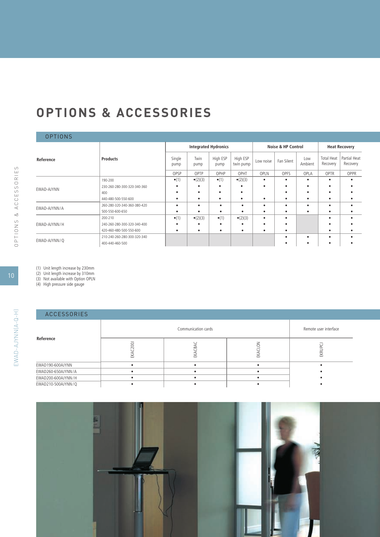# **GPTIONS & ACCESSORIES**

#### $OPTIONS$

|                                                              |                             |                | <b>Integrated Hydronics</b> |                  |                       |           | <b>Noise &amp; HP Control</b> |                | <b>Heat Recovery</b>          |                          |
|--------------------------------------------------------------|-----------------------------|----------------|-----------------------------|------------------|-----------------------|-----------|-------------------------------|----------------|-------------------------------|--------------------------|
| .<br>Reference<br>EWAD-AJYNN<br>EWAD-AJYNN/A<br>EWAD-AJYNN/Q | <b>Products</b>             | Single<br>pump | Twin<br>pump                | High ESP<br>pump | High ESP<br>twin pump | Low noise | Fan Silent                    | Low<br>Ambient | <b>Total Heat</b><br>Recovery | Partial Heat<br>Recovery |
|                                                              |                             | OPSP           | OPTP                        | OPHP             | OPHT                  | OPLN      | OPFS                          | OPLA           | OPTR                          | OPPR                     |
|                                                              | 190-200                     | $\bullet$ (1)  | $\bullet(2)(3)$             | $\bullet$ (1)    | $\bullet(2)(3)$       | ٠         | ٠                             | ٠              | ٠                             |                          |
|                                                              | 230-260-280-300-320-340-360 |                |                             |                  |                       |           |                               |                | ٠                             |                          |
|                                                              | 400                         |                |                             |                  |                       |           |                               |                | ٠                             |                          |
|                                                              | 440-480-500-550-600         |                |                             |                  |                       | $\bullet$ | ٠                             | ٠              | ٠                             |                          |
|                                                              | 260-280-320-340-360-380-420 | $\bullet$      |                             |                  |                       |           | ٠                             | ٠              | ٠                             |                          |
|                                                              | 500-550-600-650             |                |                             |                  |                       | ٠         | ٠                             | ٠              | ٠                             |                          |
|                                                              | 200-210                     | $\bullet$ (1)  | $\bullet(2)(3)$             | $\bullet$ (1)    | $\bullet(2)(3)$       | ٠         | $\bullet$                     |                | ٠                             |                          |
| EWAD-AJYNN/H                                                 | 240-260-280-300-320-340-400 |                |                             |                  |                       |           |                               |                |                               |                          |
|                                                              | 420-460-480-500-550-600     | ٠              |                             |                  |                       |           | ٠                             |                | ٠                             |                          |
|                                                              | 210-240-260-280-300-320-340 |                |                             |                  |                       |           |                               | ٠              | ٠                             |                          |
|                                                              | 400-440-460-500             |                |                             |                  |                       |           |                               |                |                               |                          |

(1) Unit length increase by 230mm

(2) Unit length increase by 310mm

(3) Not available with Option OPLN

(4) High pressure side gauge

| ACCESSORIES        |           |                     |        |                       |
|--------------------|-----------|---------------------|--------|-----------------------|
|                    |           | Communication cards |        | Remote user interface |
| Reference          | 2001<br>孟 | 孟                   | ξ<br>盖 | EKRL                  |
| EWAD190-600AJYNN   |           | $\bullet$           |        |                       |
| EWAD260-650AJYNN/A |           |                     |        |                       |
| EWAD200-600AJYNN/H |           |                     |        |                       |
| EWAD210-500AJYNN/Q |           |                     |        |                       |

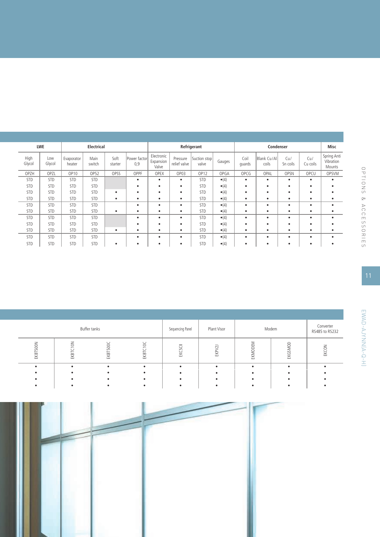|                | <b>LWE</b>    |                      | Electrical     |                 |                     | Refrigerant                      |                          |                       |              | Condenser      |                      |                 | <b>Misc</b>     |                                    |
|----------------|---------------|----------------------|----------------|-----------------|---------------------|----------------------------------|--------------------------|-----------------------|--------------|----------------|----------------------|-----------------|-----------------|------------------------------------|
| High<br>Glycol | Low<br>Glycol | Evaporator<br>heater | Main<br>switch | Soft<br>starter | Power factor<br>0,9 | Electronic<br>Expansion<br>Valve | Pressure<br>relief valve | Suction stop<br>valve | Gauges       | Coil<br>quards | Blank Cu/Al<br>coils | Cu/<br>Sn coils | Cu/<br>Cu coils | Spring Anti<br>Vibration<br>Mounts |
| OPZH           | OPZL          | OP10                 | OP52           | OPSS            | OPPF                | OPEX                             | OP03                     | OP12                  | <b>OPGA</b>  | OPCG           | OPAL                 | <b>OPSN</b>     | OPCU            | <b>OPSVM</b>                       |
| <b>STD</b>     | <b>STD</b>    | <b>STD</b>           | <b>STD</b>     |                 | ٠                   | ٠                                | ٠                        | <b>STD</b>            | $\bullet(4)$ | ٠              | ٠                    | ٠               | ٠               | ٠                                  |
| <b>STD</b>     | <b>STD</b>    | <b>STD</b>           | <b>STD</b>     |                 | ٠                   | ٠                                | ٠                        | <b>STD</b>            | $\bullet(4)$ | ٠              | ٠                    | ٠               | ٠               |                                    |
| <b>STD</b>     | <b>STD</b>    | <b>STD</b>           | <b>STD</b>     | ٠               | ٠                   | ٠                                | ٠                        | <b>STD</b>            | $\bullet(4)$ | ٠              | $\bullet$            | ٠               | ٠               |                                    |
| <b>STD</b>     | <b>STD</b>    | <b>STD</b>           | <b>STD</b>     | ٠               | ٠                   | ٠                                | ٠                        | <b>STD</b>            | $\bullet(4)$ | ٠              | ٠                    | ٠               | ٠               |                                    |
| <b>STD</b>     | <b>STD</b>    | <b>STD</b>           | <b>STD</b>     |                 | ٠                   | ٠                                | ٠                        | <b>STD</b>            | $\bullet(4)$ | ٠              | ٠                    | ٠               | ٠               |                                    |
| <b>STD</b>     | <b>STD</b>    | <b>STD</b>           | <b>STD</b>     | ٠               | ٠                   | ٠                                | ٠                        | <b>STD</b>            | $\bullet(4)$ |                | $\bullet$            |                 | ٠               |                                    |
| <b>STD</b>     | <b>STD</b>    | <b>STD</b>           | <b>STD</b>     |                 | ٠                   | ٠                                | ٠                        | <b>STD</b>            | $\bullet(4)$ | ٠              | $\bullet$            | ٠               | ٠               |                                    |
| <b>STD</b>     | <b>STD</b>    | <b>STD</b>           | <b>STD</b>     |                 | ٠                   | ٠                                | ٠                        | <b>STD</b>            | $\bullet(4)$ | ٠              | ٠                    | ٠               | ٠               |                                    |
| <b>STD</b>     | <b>STD</b>    | <b>STD</b>           | <b>STD</b>     | ٠               | ٠                   | ٠                                | ٠                        | <b>STD</b>            | $\bullet(4)$ | ٠              | ٠                    | ٠               | ٠               |                                    |
| <b>STD</b>     | <b>STD</b>    | <b>STD</b>           | <b>STD</b>     |                 | ٠                   | ٠                                | ٠                        | <b>STD</b>            | $\bullet(4)$ | ٠              | ٠                    | ٠               | $\bullet$       | ٠                                  |
| <b>STD</b>     | <b>STD</b>    | <b>STD</b>           | <b>STD</b>     | ٠               | ٠                   | ٠                                | $\bullet$                | <b>STD</b>            | $\bullet(4)$ | ٠              | $\bullet$            | ٠               | ٠               |                                    |

| Buffer tanks |                  |                         |                  | Sequencing Panel | Plant Visor | Modem   |         | Converter<br>RS485 to RS232 |
|--------------|------------------|-------------------------|------------------|------------------|-------------|---------|---------|-----------------------------|
| ς<br>EKBT    | EKB <sup>®</sup> | 500<br>EKB <sup>-</sup> | EKB <sup>-</sup> | S<br>EK          | EKP         | EKMODEN | EKGSMOD | z<br>EKCOI                  |
|              |                  |                         |                  |                  |             |         |         |                             |
|              |                  |                         |                  |                  |             |         |         |                             |
|              |                  |                         |                  |                  |             |         |         |                             |